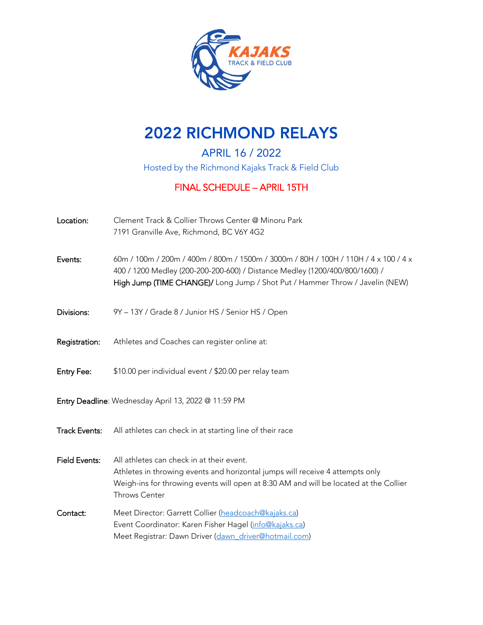

# 2022 RICHMOND RELAYS

APRIL 16 / 2022 Hosted by the Richmond Kajaks Track & Field Club

## FINAL SCHEDULE – APRIL 15TH

| Location:            | Clement Track & Collier Throws Center @ Minoru Park<br>7191 Granville Ave, Richmond, BC V6Y 4G2                                                                                                                                                    |  |  |  |
|----------------------|----------------------------------------------------------------------------------------------------------------------------------------------------------------------------------------------------------------------------------------------------|--|--|--|
| Events:              | 60m / 100m / 200m / 400m / 800m / 1500m / 3000m / 80H / 100H / 110H / 4 x 100 / 4 x<br>400 / 1200 Medley (200-200-200-600) / Distance Medley (1200/400/800/1600) /<br>High Jump (TIME CHANGE)/ Long Jump / Shot Put / Hammer Throw / Javelin (NEW) |  |  |  |
| Divisions:           | 9Y - 13Y / Grade 8 / Junior HS / Senior HS / Open                                                                                                                                                                                                  |  |  |  |
| Registration:        | Athletes and Coaches can register online at:                                                                                                                                                                                                       |  |  |  |
| Entry Fee:           | \$10.00 per individual event / \$20.00 per relay team                                                                                                                                                                                              |  |  |  |
|                      | Entry Deadline: Wednesday April 13, 2022 @ 11:59 PM                                                                                                                                                                                                |  |  |  |
| <b>Track Events:</b> | All athletes can check in at starting line of their race                                                                                                                                                                                           |  |  |  |
| <b>Field Events:</b> | All athletes can check in at their event.<br>Athletes in throwing events and horizontal jumps will receive 4 attempts only<br>Weigh-ins for throwing events will open at 8:30 AM and will be located at the Collier<br><b>Throws Center</b>        |  |  |  |
| Contact:             | Meet Director: Garrett Collier (headcoach@kajaks.ca)<br>Event Coordinator: Karen Fisher Hagel (info@kajaks.ca)<br>Meet Registrar: Dawn Driver (dawn driver@hotmail.com)                                                                            |  |  |  |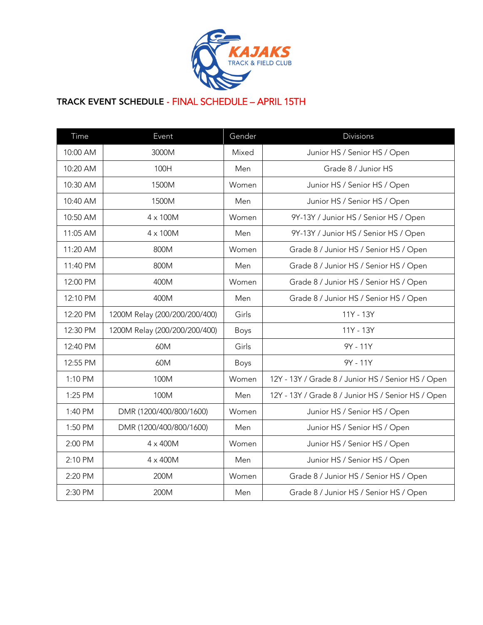

### TRACK EVENT SCHEDULE - FINAL SCHEDULE – APRIL 15TH

| Time     | Event                         | Gender | Divisions                                          |
|----------|-------------------------------|--------|----------------------------------------------------|
| 10:00 AM | 3000M                         | Mixed  | Junior HS / Senior HS / Open                       |
| 10:20 AM | 100H                          | Men    | Grade 8 / Junior HS                                |
| 10:30 AM | 1500M                         | Women  | Junior HS / Senior HS / Open                       |
| 10:40 AM | 1500M                         | Men    | Junior HS / Senior HS / Open                       |
| 10:50 AM | $4 \times 100M$               | Women  | 9Y-13Y / Junior HS / Senior HS / Open              |
| 11:05 AM | $4 \times 100M$               | Men    | 9Y-13Y / Junior HS / Senior HS / Open              |
| 11:20 AM | 800M                          | Women  | Grade 8 / Junior HS / Senior HS / Open             |
| 11:40 PM | 800M                          | Men    | Grade 8 / Junior HS / Senior HS / Open             |
| 12:00 PM | 400M                          | Women  | Grade 8 / Junior HS / Senior HS / Open             |
| 12:10 PM | 400M                          | Men    | Grade 8 / Junior HS / Senior HS / Open             |
| 12:20 PM | 1200M Relay (200/200/200/400) | Girls  | 11Y - 13Y                                          |
| 12:30 PM | 1200M Relay (200/200/200/400) | Boys   | 11Y - 13Y                                          |
| 12:40 PM | 60M                           | Girls  | 9Y - 11Y                                           |
| 12:55 PM | 60M                           | Boys   | 9Y - 11Y                                           |
| 1:10 PM  | 100M                          | Women  | 12Y - 13Y / Grade 8 / Junior HS / Senior HS / Open |
| 1:25 PM  | 100M                          | Men    | 12Y - 13Y / Grade 8 / Junior HS / Senior HS / Open |
| 1:40 PM  | DMR (1200/400/800/1600)       | Women  | Junior HS / Senior HS / Open                       |
| 1:50 PM  | DMR (1200/400/800/1600)       | Men    | Junior HS / Senior HS / Open                       |
| 2:00 PM  | $4 \times 400M$               | Women  | Junior HS / Senior HS / Open                       |
| 2:10 PM  | $4 \times 400M$               | Men    | Junior HS / Senior HS / Open                       |
| 2:20 PM  | 200M                          | Women  | Grade 8 / Junior HS / Senior HS / Open             |
| 2:30 PM  | 200M                          | Men    | Grade 8 / Junior HS / Senior HS / Open             |